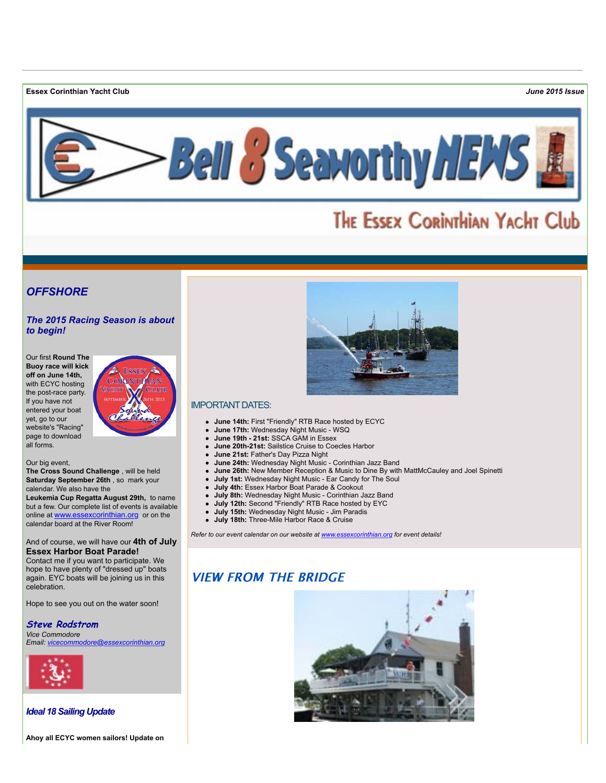**Essex Corinthian Yacht Club** *June 2015 Issue*



# THE ESSEX CORINTHIAN YACHT Club

# *OFFSHORE*

## *The 2015 Racing Season is about to begin!*

Our first **Round The Buoy race will kick off on June 14th,** with ECYC hosting the post-race party. If you have not entered your boat yet, go to our website's "Racing" page to download all forms.



Our big event,

**The Cross Sound Challenge** , will be held **Saturday September 26th** , so mark your calendar. We also have the

**Leukemia Cup Regatta August 29th,** to name but a few. Our complete list of events is available online at [www.essexcorinthian.org](http://r20.rs6.net/tn.jsp?f=0017r_Oapzy-8LJTV9oQWkui7Eqb30YgKi41q4MJxpPxxtBJFNWfasEfdbZRb3Sa0WP7xosl1SWkVlJiQYrZkbrQuPDbYcgBW3p6rpLWS2VoNBkyesvO8UAfJo2ursKEJTHdBxblPQfaXwOqeKk3vh3zFUmkcTS4Q7nzkjxyw-5XcZw4qgB6Lfwsg==&c=QdnNlWdzeVIM5RXjQ6Qi6TW3Myvjpor6FPuhOJr5-jZFYFj6Gt5cDA==&ch=VGS6xMi0LS_3Ll_r_MM0YvKSrxgeFcjAD14zlCOuaokO_Vb7cUYwKg==) or on the calendar board at the River Room!

#### And of course, we will have our **4th of July Essex Harbor Boat Parade!**

Contact me if you want to participate. We hope to have plenty of "dressed up" boats again. EYC boats will be joining us in this celebration.

Hope to see you out on the water soon!

**Steve Rodstrom** *Vice Commodore*

*Email: [vicecommodore@essexcorinthian.org](mailto:vicecommodore@essexcorinthian.org)*



## *Ideal 18 Sailing Update*

**Ahoy all ECYC women sailors! Update on**



# IMPORTANT DATES:

- **June 14th:** First "Friendly" RTB Race hosted by ECYC
- **June 17th:** Wednesday Night Music WSQ
- **June 19th 21st:** SSCA GAM in Essex
- **June 20th-21st:** Sailstice Cruise to Coecles Harbor
- **June 21st:** Father's Day Pizza Night
- **June 24th:** Wednesday Night Music Corinthian Jazz Band
- **June 26th:** New Member Reception & Music to Dine By with MattMcCauley and Joel Spinetti
- **July 1st:** Wednesday Night Music Ear Candy for The Soul
- **July 4th:** Essex Harbor Boat Parade & Cookout
- **July 8th:** Wednesday Night Music Corinthian Jazz Band
- **July 12th:** Second "Friendly" RTB Race hosted by EYC
- **July 15th:** Wednesday Night Music Jim Paradis
- **July 18th:** Three-Mile Harbor Race & Cruise

*Refer to our event calendar on our website at [www.essexcorinthian.org](http://r20.rs6.net/tn.jsp?f=0017r_Oapzy-8LJTV9oQWkui7Eqb30YgKi41q4MJxpPxxtBJFNWfasEfdbZRb3Sa0WP7xosl1SWkVlJiQYrZkbrQuPDbYcgBW3p6rpLWS2VoNBkyesvO8UAfJo2ursKEJTHdBxblPQfaXwOqeKk3vh3zFUmkcTS4Q7nzkjxyw-5XcZw4qgB6Lfwsg==&c=QdnNlWdzeVIM5RXjQ6Qi6TW3Myvjpor6FPuhOJr5-jZFYFj6Gt5cDA==&ch=VGS6xMi0LS_3Ll_r_MM0YvKSrxgeFcjAD14zlCOuaokO_Vb7cUYwKg==) for event details!*

# **VIEW FROM THE BRIDGE**

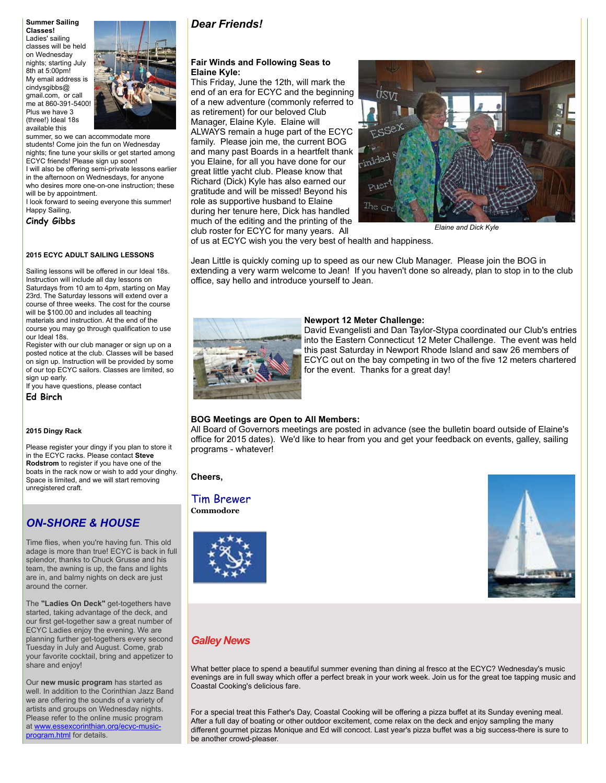**Summer Sailing Classes!** Ladies' sailing classes will be held on Wednesday nights; starting July 8th at 5:00pm! My email address is cindysgibbs@ gmail.com, or call me at 860-391-5400! Plus we have 3 (three!) Ideal 18s available this



summer, so we can accommodate more students! Come join the fun on Wednesday nights; fine tune your skills or get started among ECYC friends! Please sign up soon! I will also be offering semi-private lessons earlier in the afternoon on Wednesdays, for anyone who desires more one-on-one instruction; these will be by appointment. I look forward to seeing everyone this summer! Happy Sailing,

**Cindy Gibbs**

#### **2015 ECYC ADULT SAILING LESSONS**

Sailing lessons will be offered in our Ideal 18s. Instruction will include all day lessons on Saturdays from 10 am to 4pm, starting on May 23rd. The Saturday lessons will extend over a course of three weeks. The cost for the course will be \$100.00 and includes all teaching materials and instruction. At the end of the course you may go through qualification to use our Ideal 18s.

Register with our club manager or sign up on a posted notice at the club. Classes will be based on sign up. Instruction will be provided by some of our top ECYC sailors. Classes are limited, so sign up early.

If you have questions, please contact

**Ed Birch**

#### **2015 Dingy Rack**

Please register your dingy if you plan to store it in the ECYC racks. Please contact **Steve Rodstrom** to register if you have one of the boats in the rack now or wish to add your dinghy. Space is limited, and we will start removing unregistered craft.

# *ON-SHORE & HOUSE*

Time flies, when you're having fun. This old adage is more than true! ECYC is back in full splendor, thanks to Chuck Grusse and his team, the awning is up, the fans and lights are in, and balmy nights on deck are just around the corner.

The **"Ladies On Deck"** get-togethers have started, taking advantage of the deck, and our first get-together saw a great number of ECYC Ladies enjoy the evening. We are planning further get-togethers every second Tuesday in July and August. Come, grab your favorite cocktail, bring and appetizer to share and enjoy!

Our **new music program** has started as well. In addition to the Corinthian Jazz Band we are offering the sounds of a variety of artists and groups on Wednesday nights. Please refer to the online music program [at www.essexcorinthian.org/ecyc-music](http://r20.rs6.net/tn.jsp?f=0017r_Oapzy-8LJTV9oQWkui7Eqb30YgKi41q4MJxpPxxtBJFNWfasEfWZJCUBizaziI6mItdkTAw9Gg7ADcGz_X4maHrd0rCmixiJMKbsQnMwVMnRUUq1Hw86SkgfcBWC8CT7qC_YuutPHkdjiXFcQkZDJ7Iqjd5OZ-_N9VkkPqdC3cOgDAvA2o9lvXyV48Bomh1q-1tXJ4zU04J9DjW1H9A==&c=QdnNlWdzeVIM5RXjQ6Qi6TW3Myvjpor6FPuhOJr5-jZFYFj6Gt5cDA==&ch=VGS6xMi0LS_3Ll_r_MM0YvKSrxgeFcjAD14zlCOuaokO_Vb7cUYwKg==)program.html for details.

# *Dear Friends!*

## **Fair Winds and Following Seas to Elaine Kyle:**

This Friday, June the 12th, will mark the end of an era for ECYC and the beginning of a new adventure (commonly referred to as retirement) for our beloved Club Manager, Elaine Kyle. Elaine will ALWAYS remain a huge part of the ECYC family. Please join me, the current BOG and many past Boards in a heartfelt thank you Elaine, for all you have done for our great little yacht club. Please know that Richard (Dick) Kyle has also earned our gratitude and will be missed! Beyond his role as supportive husband to Elaine during her tenure here, Dick has handled much of the editing and the printing of the club roster for ECYC for many years. All



*Elaine and Dick Kyle*

of us at ECYC wish you the very best of health and happiness.

Jean Little is quickly coming up to speed as our new Club Manager. Please join the BOG in extending a very warm welcome to Jean! If you haven't done so already, plan to stop in to the club office, say hello and introduce yourself to Jean.



#### **Newport 12 Meter Challenge:**

David Evangelisti and Dan Taylor-Stypa coordinated our Club's entries into the Eastern Connecticut 12 Meter Challenge. The event was held this past Saturday in Newport Rhode Island and saw 26 members of ECYC out on the bay competing in two of the five 12 meters chartered for the event. Thanks for a great day!

#### **BOG Meetings are Open to All Members:**

All Board of Governors meetings are posted in advance (see the bulletin board outside of Elaine's office for 2015 dates). We'd like to hear from you and get your feedback on events, galley, sailing programs - whatever!

**Cheers,**

# Tim Brewer

**Commodore**





# *Galley News*

What better place to spend a beautiful summer evening than dining al fresco at the ECYC? Wednesday's music evenings are in full sway which offer a perfect break in your work week. Join us for the great toe tapping music and Coastal Cooking's delicious fare.

For a special treat this Father's Day, Coastal Cooking will be offering a pizza buffet at its Sunday evening meal. After a full day of boating or other outdoor excitement, come relax on the deck and enjoy sampling the many different gourmet pizzas Monique and Ed will concoct. Last year's pizza buffet was a big success-there is sure to be another crowd-pleaser.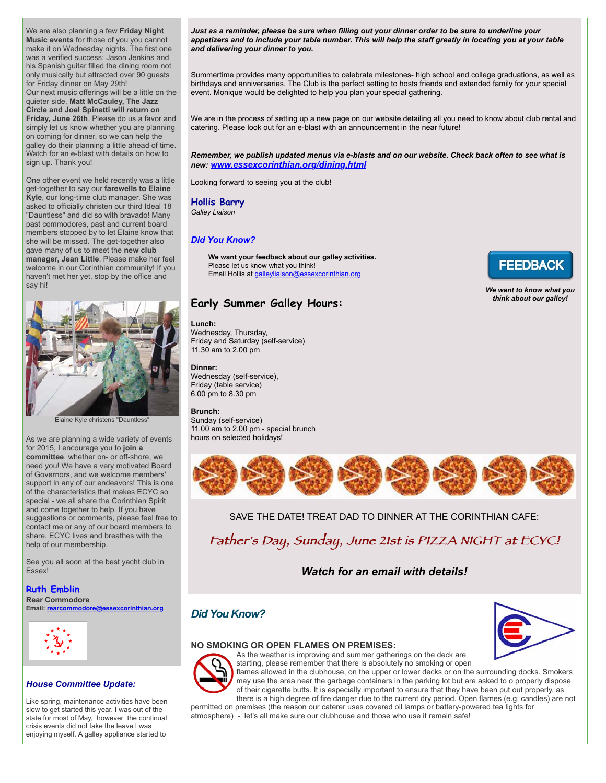We are also planning a few **Friday Night Music events** for those of you you cannot make it on Wednesday nights. The first one was a verified success: Jason Jenkins and his Spanish guitar filled the dining room not only musically but attracted over 90 guests for Friday dinner on May 29th! Our next music offerings will be a little on the quieter side, **Matt McCauley, The Jazz Circle and Joel Spinetti will return on Friday, June 26th**. Please do us a favor and simply let us know whether you are planning on coming for dinner, so we can help the galley do their planning a little ahead of time. Watch for an e-blast with details on how to sign up. Thank you!

One other event we held recently was a little get-together to say our **farewells to Elaine Kyle**, our long-time club manager. She was asked to officially christen our third Ideal 18 "Dauntless" and did so with bravado! Many past commodores, past and current board members stopped by to let Elaine know that she will be missed. The get-together also gave many of us to meet the **new club manager, Jean Little**. Please make her feel welcome in our Corinthian community! If you haven't met her yet, stop by the office and say hi!



Elaine Kyle christens "Dauntless"

As we are planning a wide variety of events for 2015, I encourage you to **join a committee**, whether on- or off-shore, we need you! We have a very motivated Board of Governors, and we welcome members' support in any of our endeavors! This is one of the characteristics that makes ECYC so special - we all share the Corinthian Spirit and come together to help. If you have suggestions or comments, please feel free to contact me or any of our board members to share. ECYC lives and breathes with the help of our membership.

See you all soon at the best yacht club in Essex!

# **Ruth Emblin**

**Rear Commodore Email: [rearcommodore@essexcorinthian.org](mailto:rearcommodore@essexcorinthian.org)**



#### *House Committee Update:*

Like spring, maintenance activities have been slow to get started this year. I was out of the state for most of May, however the continual crisis events did not take the leave I was enjoying myself. A galley appliance started to

*Just as a reminder, please be sure when filling out your dinner order to be sure to underline your appetizers and to include your table number. This will help the staff greatly in locating you at your table and delivering your dinner to you.*

Summertime provides many opportunities to celebrate milestones- high school and college graduations, as well as birthdays and anniversaries. The Club is the perfect setting to hosts friends and extended family for your special event. Monique would be delighted to help you plan your special gathering.

We are in the process of setting up a new page on our website detailing all you need to know about club rental and catering. Please look out for an e-blast with an announcement in the near future!

*Remember, we publish updated menus via e-blasts and on our website. Check back often to see what is new: [www.essexcorinthian.org/dining.html](http://r20.rs6.net/tn.jsp?f=0017r_Oapzy-8LJTV9oQWkui7Eqb30YgKi41q4MJxpPxxtBJFNWfasEfZch9wW23obc2hLoLLL-1zCSCe47wFfVsXZETi6n1Ck_LKdgcNSPrQ2J9NX3HE51FVttXy6u0T6SegLMPvSGDc4o1904JPT1fvwRp4WW2I723J4kvaPK-w96aiitgRyjB7W4CPWXdXN8b65ryVo4XSY=&c=QdnNlWdzeVIM5RXjQ6Qi6TW3Myvjpor6FPuhOJr5-jZFYFj6Gt5cDA==&ch=VGS6xMi0LS_3Ll_r_MM0YvKSrxgeFcjAD14zlCOuaokO_Vb7cUYwKg==)*

Looking forward to seeing you at the club!

## **Hollis Barry**

*Galley Liaison*

## *Did You Know?*

**We want your feedback about our galley activities.** Please let us know what you think! Email Hollis at [galleyliaison@essexcorinthian.org](mailto:galleyliaison@essexcorinthian.org)



*We want to know what you think about our galley!*

# **Early Summer Galley Hours:**

**Lunch:**  Wednesday, Thursday,

Friday and Saturday (self-service) 11.30 am to 2.00 pm

#### **Dinner:**

Wednesday (self-service), Friday (table service) 6.00 pm to 8.30 pm

#### **Brunch:**

Sunday (self-service) 11.00 am to 2.00 pm - special brunch hours on selected holidays!



SAVE THE DATE! TREAT DAD TO DINNER AT THE CORINTHIAN CAFE:

Father's Day, Sunday, June 21st is PIZZA NIGHT at ECYC!

# *Watch for an email with details!*

# *Did You Know?*





flames allowed in the clubhouse, on the upper or lower decks or on the surrounding docks. Smokers may use the area near the garbage containers in the parking lot but are asked to o properly dispose of their cigarette butts. It is especially important to ensure that they have been put out properly, as there is a high degree of fire danger due to the current dry period. Open flames (e.g. candles) are not permitted on premises (the reason our caterer uses covered oil lamps or battery-powered tea lights for

atmosphere) - let's all make sure our clubhouse and those who use it remain safe!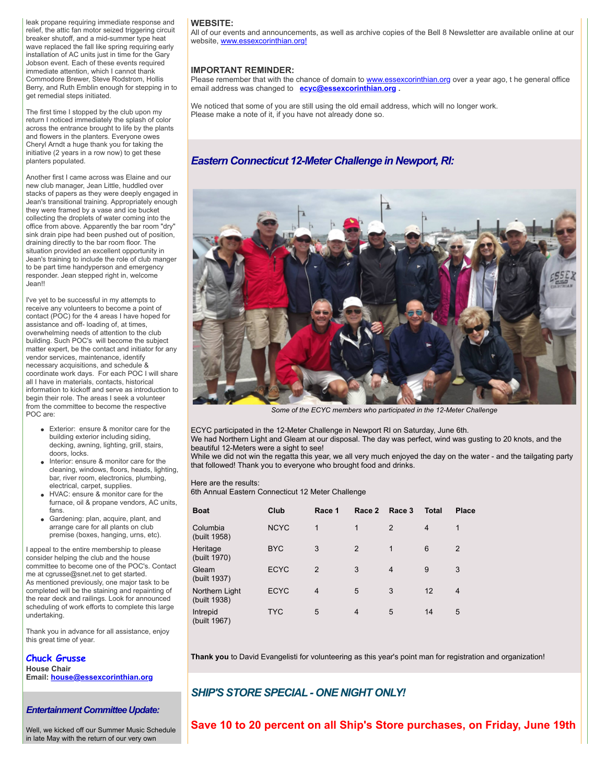leak propane requiring immediate response and relief, the attic fan motor seized triggering circuit breaker shutoff, and a mid-summer type heat wave replaced the fall like spring requiring early installation of AC units just in time for the Gary Jobson event. Each of these events required immediate attention, which I cannot thank Commodore Brewer, Steve Rodstrom, Hollis Berry, and Ruth Emblin enough for stepping in to get remedial steps initiated.

The first time I stopped by the club upon my return I noticed immediately the splash of color across the entrance brought to life by the plants and flowers in the planters. Everyone owes Cheryl Arndt a huge thank you for taking the initiative (2 years in a row now) to get these planters populated.

Another first I came across was Elaine and our new club manager, Jean Little, huddled over stacks of papers as they were deeply engaged in Jean's transitional training. Appropriately enough they were framed by a vase and ice bucket collecting the droplets of water coming into the office from above. Apparently the bar room "dry" sink drain pipe had been pushed out of position, draining directly to the bar room floor. The situation provided an excellent opportunity in Jean's training to include the role of club manger to be part time handyperson and emergency responder. Jean stepped right in, welcome Jean!!

I've yet to be successful in my attempts to receive any volunteers to become a point of contact (POC) for the 4 areas I have hoped for assistance and off- loading of, at times, overwhelming needs of attention to the club building. Such POC's will become the subject matter expert, be the contact and initiator for any vendor services, maintenance, identify necessary acquisitions, and schedule & coordinate work days. For each POC I will share all I have in materials, contacts, historical information to kickoff and serve as introduction to begin their role. The areas I seek a volunteer from the committee to become the respective POC are:

- **Exterior: ensure & monitor care for the** building exterior including siding, decking, awning, lighting, grill, stairs, doors, locks.
- Interior: ensure & monitor care for the cleaning, windows, floors, heads, lighting, bar, river room, electronics, plumbing, electrical, carpet, supplies.
- HVAC: ensure & monitor care for the furnace, oil & propane vendors, AC units, fans.
- Gardening: plan, acquire, plant, and arrange care for all plants on club premise (boxes, hanging, urns, etc).

I appeal to the entire membership to please consider helping the club and the house committee to become one of the POC's. Contact me at cgrusse@snet.net to get started. As mentioned previously, one major task to be completed will be the staining and repainting of the rear deck and railings. Look for announced scheduling of work efforts to complete this large undertaking.

Thank you in advance for all assistance, enjoy this great time of year.

# **Chuck Grusse**

**House Chair Email: [house@essexcorinthian.org](mailto:house@essexcorinthian.org)**

*Entertainment Committee Update:*

Well, we kicked off our Summer Music Schedule in late May with the return of our very own

#### **WEBSITE:**

All of our events and announcements, as well as archive copies of the Bell 8 Newsletter are available online at our website, [www.essexcorinthian.org!](http://r20.rs6.net/tn.jsp?f=0017r_Oapzy-8LJTV9oQWkui7Eqb30YgKi41q4MJxpPxxtBJFNWfasEfa-WvHIJZlHMUXEUqLKjWFvUFXuYGzD3PgAIFk_UIcVpCOMU7z5uB80u6-Qu410tigC0o-KxvHoIEfjBa0DfTnWt0KrXWlQXYJHfIA4845txjvlESv65IYZZK1Siis3s6A==&c=QdnNlWdzeVIM5RXjQ6Qi6TW3Myvjpor6FPuhOJr5-jZFYFj6Gt5cDA==&ch=VGS6xMi0LS_3Ll_r_MM0YvKSrxgeFcjAD14zlCOuaokO_Vb7cUYwKg==)

#### **IMPORTANT REMINDER:**

Please remember that with the chance of domain to [www.essexcorinthian.org](http://r20.rs6.net/tn.jsp?f=0017r_Oapzy-8LJTV9oQWkui7Eqb30YgKi41q4MJxpPxxtBJFNWfasEfdbZRb3Sa0WP7xosl1SWkVlJiQYrZkbrQuPDbYcgBW3p6rpLWS2VoNBkyesvO8UAfJo2ursKEJTHdBxblPQfaXwOqeKk3vh3zFUmkcTS4Q7nzkjxyw-5XcZw4qgB6Lfwsg==&c=QdnNlWdzeVIM5RXjQ6Qi6TW3Myvjpor6FPuhOJr5-jZFYFj6Gt5cDA==&ch=VGS6xMi0LS_3Ll_r_MM0YvKSrxgeFcjAD14zlCOuaokO_Vb7cUYwKg==) over a year ago, t he general office email address was changed to **[ecyc@essexcorinthian.org](mailto:ecyc@essexcorinthian.org) .** 

We noticed that some of you are still using the old email address, which will no longer work. Please make a note of it, if you have not already done so.

# *Eastern Connecticut 12-Meter Challenge in Newport, RI:*



*Some of the ECYC members who participated in the 12-Meter Challenge*

ECYC participated in the 12-Meter Challenge in Newport RI on Saturday, June 6th.

We had Northern Light and Gleam at our disposal. The day was perfect, wind was gusting to 20 knots, and the beautiful 12-Meters were a sight to see!

While we did not win the regatta this year, we all very much enjoyed the day on the water - and the tailgating party that followed! Thank you to everyone who brought food and drinks.

Here are the results:

6th Annual Eastern Connecticut 12 Meter Challenge

| <b>Boat</b>                    | Club        | Race 1         | Race 2         | Race 3         | <b>Total</b>   | <b>Place</b>   |
|--------------------------------|-------------|----------------|----------------|----------------|----------------|----------------|
| Columbia<br>(built 1958)       | <b>NCYC</b> | 1              | 1              | 2              | $\overline{4}$ | 1              |
| Heritage<br>(built 1970)       | <b>BYC</b>  | 3              | 2              | 1              | 6              | $\overline{2}$ |
| Gleam<br>(built 1937)          | <b>ECYC</b> | $\overline{2}$ | 3              | $\overline{4}$ | 9              | 3              |
| Northern Light<br>(built 1938) | <b>ECYC</b> | $\overline{4}$ | 5              | 3              | 12             | 4              |
| Intrepid<br>(built 1967)       | <b>TYC</b>  | 5              | $\overline{4}$ | 5              | 14             | 5              |

**Thank you** to David Evangelisti for volunteering as this year's point man for registration and organization!

# *SHIP'S STORE SPECIAL - ONE NIGHT ONLY!*

**Save 10 to 20 percent on all Ship's Store purchases, on Friday, June 19th**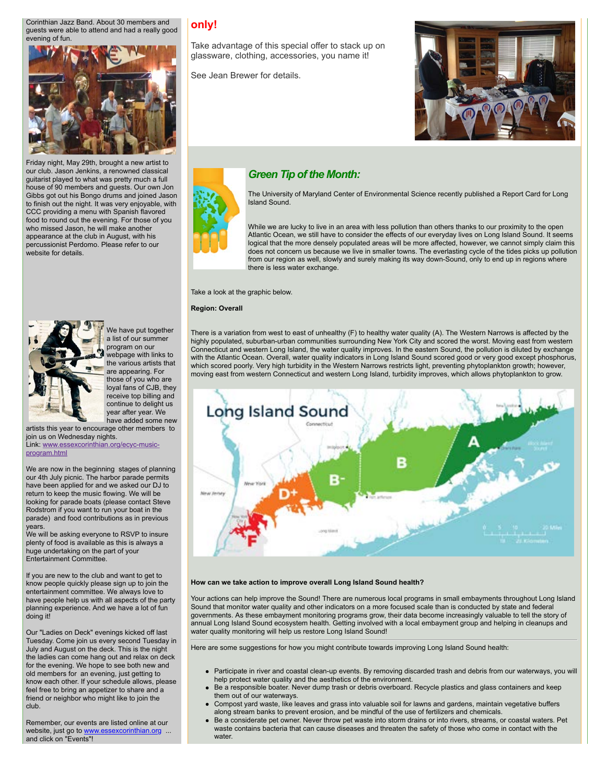Corinthian Jazz Band. About 30 members and guests were able to attend and had a really good evening of fun.



Friday night, May 29th, brought a new artist to our club. Jason Jenkins, a renowned classical guitarist played to what was pretty much a full house of 90 members and guests. Our own Jon Gibbs got out his Bongo drums and joined Jason to finish out the night. It was very enjoyable, with CCC providing a menu with Spanish flavored food to round out the evening. For those of you who missed Jason, he will make another appearance at the club in August, with his percussionist Perdomo. Please refer to our website for details.



We have put together a list of our summer program on our webpage with links to the various artists that are appearing. For those of you who are loyal fans of CJB, they receive top billing and continue to delight us year after year. We have added some new artists this year to encourage other members to

join us on Wednesday nights. [Link: www.essexcorinthian.org/ecyc-music](http://www.essexcorinthian.org/ecyc-music-program.html)program.html

We are now in the beginning stages of planning our 4th July picnic. The harbor parade permits have been applied for and we asked our DJ to return to keep the music flowing. We will be looking for parade boats (please contact Steve Rodstrom if you want to run your boat in the parade) and food contributions as in previous years.

We will be asking everyone to RSVP to insure plenty of food is available as this is always a huge undertaking on the part of your Entertainment Committee.

If you are new to the club and want to get to know people quickly please sign up to join the entertainment committee. We always love to have people help us with all aspects of the party planning experience. And we have a lot of fun doing it!

Our "Ladies on Deck" evenings kicked off last Tuesday. Come join us every second Tuesday in July and August on the deck. This is the night the ladies can come hang out and relax on deck for the evening. We hope to see both new and old members for an evening, just getting to know each other. If your schedule allows, please feel free to bring an appetizer to share and a friend or neighbor who might like to join the club.

Remember, our events are listed online at our website, just go to [www.essexcorinthian.org](http://r20.rs6.net/tn.jsp?f=0017r_Oapzy-8LJTV9oQWkui7Eqb30YgKi41q4MJxpPxxtBJFNWfasEfdbZRb3Sa0WP7xosl1SWkVlJiQYrZkbrQuPDbYcgBW3p6rpLWS2VoNBkyesvO8UAfJo2ursKEJTHdBxblPQfaXwOqeKk3vh3zFUmkcTS4Q7nzkjxyw-5XcZw4qgB6Lfwsg==&c=QdnNlWdzeVIM5RXjQ6Qi6TW3Myvjpor6FPuhOJr5-jZFYFj6Gt5cDA==&ch=VGS6xMi0LS_3Ll_r_MM0YvKSrxgeFcjAD14zlCOuaokO_Vb7cUYwKg==) ... and click on "Events"!

# **only!**

Take advantage of this special offer to stack up on glassware, clothing, accessories, you name it!

See Jean Brewer for details.



# *Green Tip of the Month:*

The University of Maryland Center of Environmental Science recently published a Report Card for Long Island Sound.

While we are lucky to live in an area with less pollution than others thanks to our proximity to the open Atlantic Ocean, we still have to consider the effects of our everyday lives on Long Island Sound. It seems logical that the more densely populated areas will be more affected, however, we cannot simply claim this does not concern us because we live in smaller towns. The everlasting cycle of the tides picks up pollution from our region as well, slowly and surely making its way down-Sound, only to end up in regions where there is less water exchange.

Take a look at the graphic below.

**Region: Overall**

There is a variation from west to east of unhealthy (F) to healthy water quality (A). The Western Narrows is affected by the highly populated, suburban-urban communities surrounding New York City and scored the worst. Moving east from western Connecticut and western Long Island, the water quality improves. In the eastern Sound, the pollution is diluted by exchange with the Atlantic Ocean. Overall, water quality indicators in Long Island Sound scored good or very good except phosphorus, which scored poorly. Very high turbidity in the Western Narrows restricts light, preventing phytoplankton growth; however, moving east from western Connecticut and western Long Island, turbidity improves, which allows phytoplankton to grow.



#### **How can we take action to improve overall Long Island Sound health?**

Your actions can help improve the Sound! There are numerous local programs in small embayments throughout Long Island Sound that monitor water quality and other indicators on a more focused scale than is conducted by state and federal governments. As these embayment monitoring programs grow, their data become increasingly valuable to tell the story of annual Long Island Sound ecosystem health. Getting involved with a local embayment group and helping in cleanups and water quality monitoring will help us restore Long Island Sound!

Here are some suggestions for how you might contribute towards improving Long Island Sound health:

- Participate in river and coastal clean-up events. By removing discarded trash and debris from our waterways, you will help protect water quality and the aesthetics of the environment.
- Be a responsible boater. Never dump trash or debris overboard. Recycle plastics and glass containers and keep them out of our waterways.
- Compost yard waste, like leaves and grass into valuable soil for lawns and gardens, maintain vegetative buffers along stream banks to prevent erosion, and be mindful of the use of fertilizers and chemicals.
- Be a considerate pet owner. Never throw pet waste into storm drains or into rivers, streams, or coastal waters. Pet waste contains bacteria that can cause diseases and threaten the safety of those who come in contact with the water.